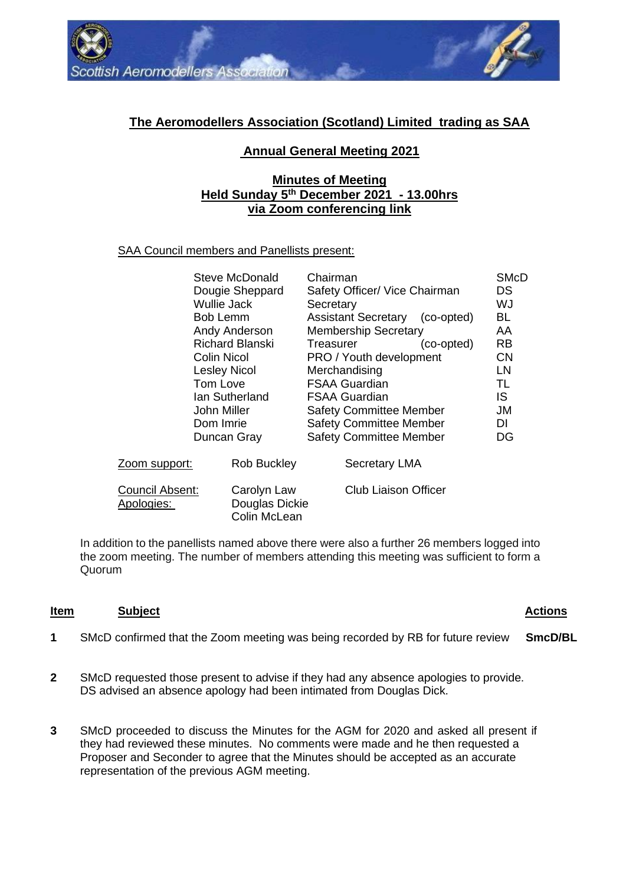

# **The Aeromodellers Association (Scotland) Limited trading as SAA**

# **Annual General Meeting 2021**

# **Minutes of Meeting Held Sunday 5th December 2021 - 13.00hrs via Zoom conferencing link**

## SAA Council members and Panellists present:

|                               | Steve McDonald<br>Dougie Sheppard<br>Wullie Jack<br><b>Bob Lemm</b><br>Andy Anderson<br><b>Richard Blanski</b><br>Colin Nicol<br><b>Lesley Nicol</b><br>Tom Love<br>lan Sutherland<br>John Miller<br>Dom Imrie<br>Duncan Gray | Chairman<br>Safety Officer/ Vice Chairman<br>Secretary<br>Assistant Secretary (co-opted)<br><b>Membership Secretary</b><br>Treasurer<br>(co-opted)<br><b>PRO</b> / Youth development<br>Merchandising<br><b>FSAA Guardian</b><br><b>FSAA Guardian</b><br><b>Safety Committee Member</b><br><b>Safety Committee Member</b><br><b>Safety Committee Member</b> | <b>SMcD</b><br>DS.<br>WJ<br>BL<br>AA<br>RB.<br><b>CN</b><br>LN<br>TL<br>IS<br>JM<br>DI<br>DG |
|-------------------------------|-------------------------------------------------------------------------------------------------------------------------------------------------------------------------------------------------------------------------------|-------------------------------------------------------------------------------------------------------------------------------------------------------------------------------------------------------------------------------------------------------------------------------------------------------------------------------------------------------------|----------------------------------------------------------------------------------------------|
| Zoom support:                 | <b>Rob Buckley</b>                                                                                                                                                                                                            | <b>Secretary LMA</b>                                                                                                                                                                                                                                                                                                                                        |                                                                                              |
| Council Absent:<br>Apologies: | Carolyn Law<br>Douglas Dickie<br>Colin McLean                                                                                                                                                                                 | <b>Club Liaison Officer</b>                                                                                                                                                                                                                                                                                                                                 |                                                                                              |

In addition to the panellists named above there were also a further 26 members logged into the zoom meeting. The number of members attending this meeting was sufficient to form a Quorum

#### **Item Subject Actions**

- **1** SMcD confirmed that the Zoom meeting was being recorded by RB for future review **SmcD/BL**
- **2** SMcD requested those present to advise if they had any absence apologies to provide. DS advised an absence apology had been intimated from Douglas Dick.
- **3** SMcD proceeded to discuss the Minutes for the AGM for 2020 and asked all present if they had reviewed these minutes. No comments were made and he then requested a Proposer and Seconder to agree that the Minutes should be accepted as an accurate representation of the previous AGM meeting.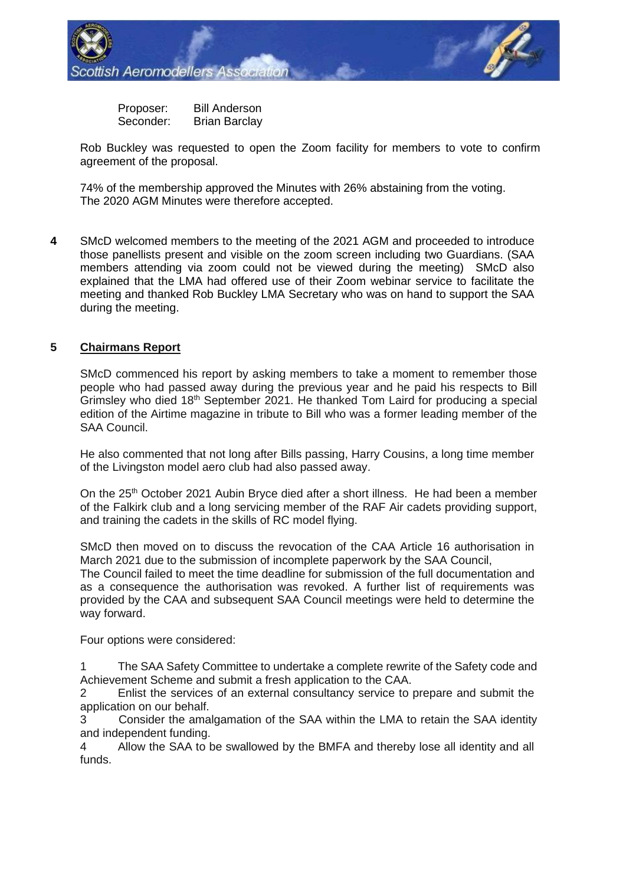

Proposer: Bill Anderson Seconder: Brian Barclay

Rob Buckley was requested to open the Zoom facility for members to vote to confirm agreement of the proposal.

74% of the membership approved the Minutes with 26% abstaining from the voting. The 2020 AGM Minutes were therefore accepted.

**4** SMcD welcomed members to the meeting of the 2021 AGM and proceeded to introduce those panellists present and visible on the zoom screen including two Guardians. (SAA members attending via zoom could not be viewed during the meeting) SMcD also explained that the LMA had offered use of their Zoom webinar service to facilitate the meeting and thanked Rob Buckley LMA Secretary who was on hand to support the SAA during the meeting.

## **5 Chairmans Report**

SMcD commenced his report by asking members to take a moment to remember those people who had passed away during the previous year and he paid his respects to Bill Grimsley who died 18th September 2021. He thanked Tom Laird for producing a special edition of the Airtime magazine in tribute to Bill who was a former leading member of the SAA Council.

He also commented that not long after Bills passing, Harry Cousins, a long time member of the Livingston model aero club had also passed away.

On the 25th October 2021 Aubin Bryce died after a short illness. He had been a member of the Falkirk club and a long servicing member of the RAF Air cadets providing support, and training the cadets in the skills of RC model flying.

SMcD then moved on to discuss the revocation of the CAA Article 16 authorisation in March 2021 due to the submission of incomplete paperwork by the SAA Council,

The Council failed to meet the time deadline for submission of the full documentation and as a consequence the authorisation was revoked. A further list of requirements was provided by the CAA and subsequent SAA Council meetings were held to determine the way forward.

Four options were considered:

1 The SAA Safety Committee to undertake a complete rewrite of the Safety code and Achievement Scheme and submit a fresh application to the CAA.

2 Enlist the services of an external consultancy service to prepare and submit the application on our behalf.

3 Consider the amalgamation of the SAA within the LMA to retain the SAA identity and independent funding.

4 Allow the SAA to be swallowed by the BMFA and thereby lose all identity and all funds.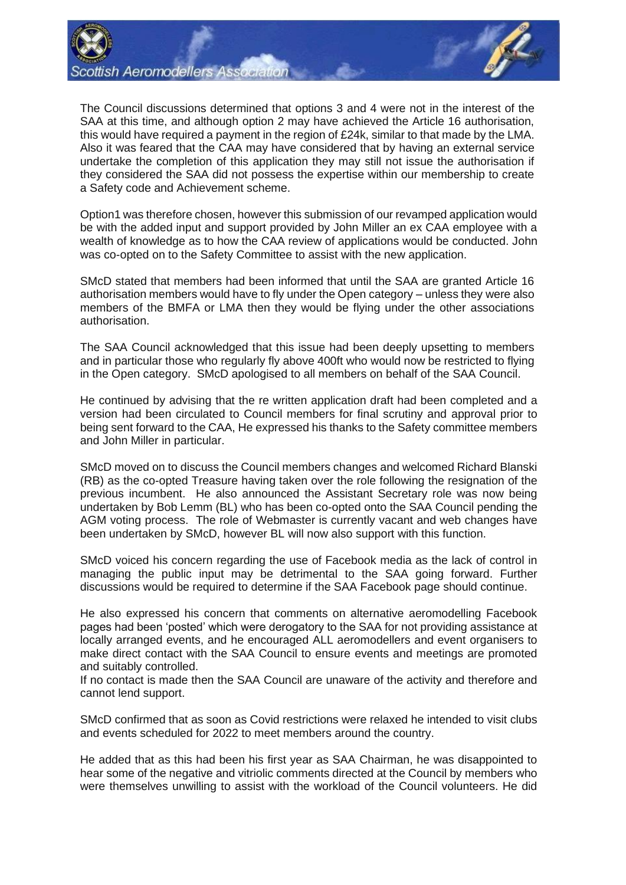

The Council discussions determined that options 3 and 4 were not in the interest of the SAA at this time, and although option 2 may have achieved the Article 16 authorisation, this would have required a payment in the region of £24k, similar to that made by the LMA. Also it was feared that the CAA may have considered that by having an external service undertake the completion of this application they may still not issue the authorisation if they considered the SAA did not possess the expertise within our membership to create a Safety code and Achievement scheme.

Option1 was therefore chosen, however this submission of our revamped application would be with the added input and support provided by John Miller an ex CAA employee with a wealth of knowledge as to how the CAA review of applications would be conducted. John was co-opted on to the Safety Committee to assist with the new application.

SMcD stated that members had been informed that until the SAA are granted Article 16 authorisation members would have to fly under the Open category – unless they were also members of the BMFA or LMA then they would be flying under the other associations authorisation.

The SAA Council acknowledged that this issue had been deeply upsetting to members and in particular those who regularly fly above 400ft who would now be restricted to flying in the Open category. SMcD apologised to all members on behalf of the SAA Council.

He continued by advising that the re written application draft had been completed and a version had been circulated to Council members for final scrutiny and approval prior to being sent forward to the CAA, He expressed his thanks to the Safety committee members and John Miller in particular.

SMcD moved on to discuss the Council members changes and welcomed Richard Blanski (RB) as the co-opted Treasure having taken over the role following the resignation of the previous incumbent. He also announced the Assistant Secretary role was now being undertaken by Bob Lemm (BL) who has been co-opted onto the SAA Council pending the AGM voting process. The role of Webmaster is currently vacant and web changes have been undertaken by SMcD, however BL will now also support with this function.

SMcD voiced his concern regarding the use of Facebook media as the lack of control in managing the public input may be detrimental to the SAA going forward. Further discussions would be required to determine if the SAA Facebook page should continue.

He also expressed his concern that comments on alternative aeromodelling Facebook pages had been 'posted' which were derogatory to the SAA for not providing assistance at locally arranged events, and he encouraged ALL aeromodellers and event organisers to make direct contact with the SAA Council to ensure events and meetings are promoted and suitably controlled.

If no contact is made then the SAA Council are unaware of the activity and therefore and cannot lend support.

SMcD confirmed that as soon as Covid restrictions were relaxed he intended to visit clubs and events scheduled for 2022 to meet members around the country.

He added that as this had been his first year as SAA Chairman, he was disappointed to hear some of the negative and vitriolic comments directed at the Council by members who were themselves unwilling to assist with the workload of the Council volunteers. He did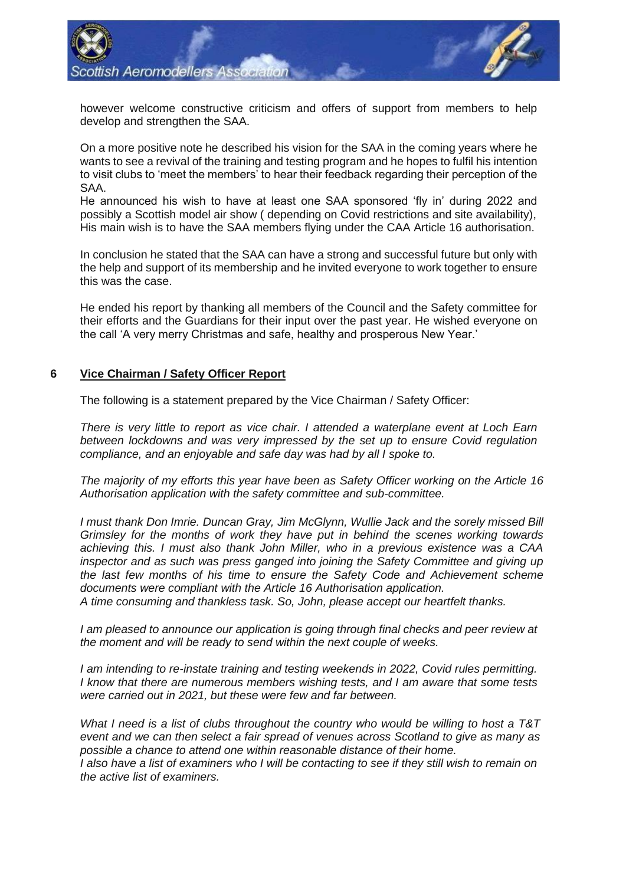

however welcome constructive criticism and offers of support from members to help develop and strengthen the SAA.

On a more positive note he described his vision for the SAA in the coming years where he wants to see a revival of the training and testing program and he hopes to fulfil his intention to visit clubs to 'meet the members' to hear their feedback regarding their perception of the SAA.

He announced his wish to have at least one SAA sponsored 'fly in' during 2022 and possibly a Scottish model air show ( depending on Covid restrictions and site availability), His main wish is to have the SAA members flying under the CAA Article 16 authorisation.

In conclusion he stated that the SAA can have a strong and successful future but only with the help and support of its membership and he invited everyone to work together to ensure this was the case.

He ended his report by thanking all members of the Council and the Safety committee for their efforts and the Guardians for their input over the past year. He wished everyone on the call 'A very merry Christmas and safe, healthy and prosperous New Year.'

#### **6 Vice Chairman / Safety Officer Report**

The following is a statement prepared by the Vice Chairman / Safety Officer:

*There is very little to report as vice chair. I attended a waterplane event at Loch Earn between lockdowns and was very impressed by the set up to ensure Covid regulation compliance, and an enjoyable and safe day was had by all I spoke to.*

*The majority of my efforts this year have been as Safety Officer working on the Article 16 Authorisation application with the safety committee and sub-committee.*

*I must thank Don Imrie. Duncan Gray, Jim McGlynn, Wullie Jack and the sorely missed Bill Grimsley for the months of work they have put in behind the scenes working towards achieving this. I must also thank John Miller, who in a previous existence was a CAA inspector and as such was press ganged into joining the Safety Committee and giving up the last few months of his time to ensure the Safety Code and Achievement scheme documents were compliant with the Article 16 Authorisation application.* 

*A time consuming and thankless task. So, John, please accept our heartfelt thanks.*

*I am pleased to announce our application is going through final checks and peer review at the moment and will be ready to send within the next couple of weeks.*

*I am intending to re-instate training and testing weekends in 2022, Covid rules permitting. I know that there are numerous members wishing tests, and I am aware that some tests were carried out in 2021, but these were few and far between.*

*What I need is a list of clubs throughout the country who would be willing to host a T&T event and we can then select a fair spread of venues across Scotland to give as many as possible a chance to attend one within reasonable distance of their home.*

*I also have a list of examiners who I will be contacting to see if they still wish to remain on the active list of examiners.*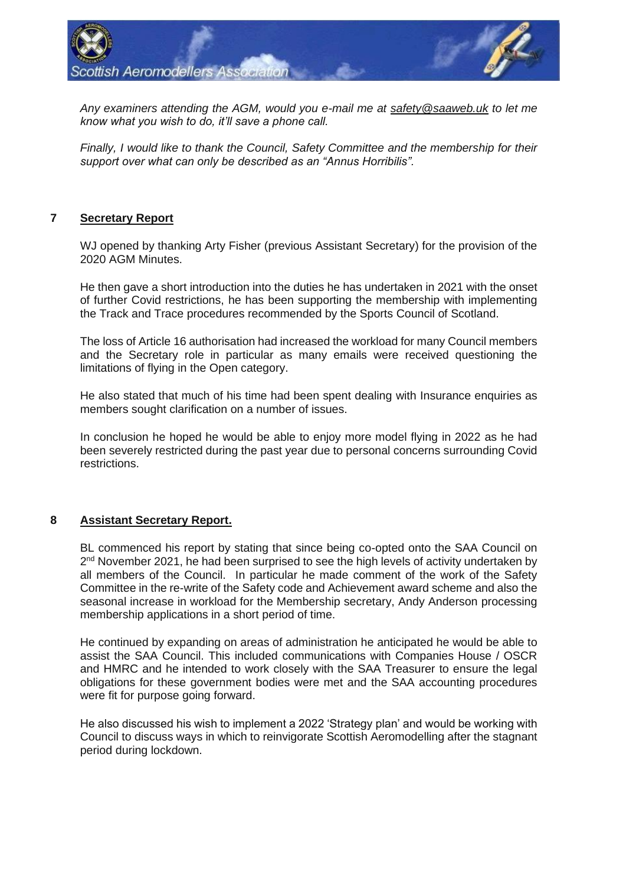

*Any examiners attending the AGM, would you e-mail me at [safety@saaweb.uk](mailto:safety@saaweb.uk) to let me know what you wish to do, it'll save a phone call.* 

*Finally, I would like to thank the Council, Safety Committee and the membership for their support over what can only be described as an "Annus Horribilis".*

## **7 Secretary Report**

WJ opened by thanking Arty Fisher (previous Assistant Secretary) for the provision of the 2020 AGM Minutes.

He then gave a short introduction into the duties he has undertaken in 2021 with the onset of further Covid restrictions, he has been supporting the membership with implementing the Track and Trace procedures recommended by the Sports Council of Scotland.

The loss of Article 16 authorisation had increased the workload for many Council members and the Secretary role in particular as many emails were received questioning the limitations of flying in the Open category.

He also stated that much of his time had been spent dealing with Insurance enquiries as members sought clarification on a number of issues.

In conclusion he hoped he would be able to enjoy more model flying in 2022 as he had been severely restricted during the past year due to personal concerns surrounding Covid restrictions.

## **8 Assistant Secretary Report.**

BL commenced his report by stating that since being co-opted onto the SAA Council on 2<sup>nd</sup> November 2021, he had been surprised to see the high levels of activity undertaken by all members of the Council. In particular he made comment of the work of the Safety Committee in the re-write of the Safety code and Achievement award scheme and also the seasonal increase in workload for the Membership secretary, Andy Anderson processing membership applications in a short period of time.

He continued by expanding on areas of administration he anticipated he would be able to assist the SAA Council. This included communications with Companies House / OSCR and HMRC and he intended to work closely with the SAA Treasurer to ensure the legal obligations for these government bodies were met and the SAA accounting procedures were fit for purpose going forward.

He also discussed his wish to implement a 2022 'Strategy plan' and would be working with Council to discuss ways in which to reinvigorate Scottish Aeromodelling after the stagnant period during lockdown.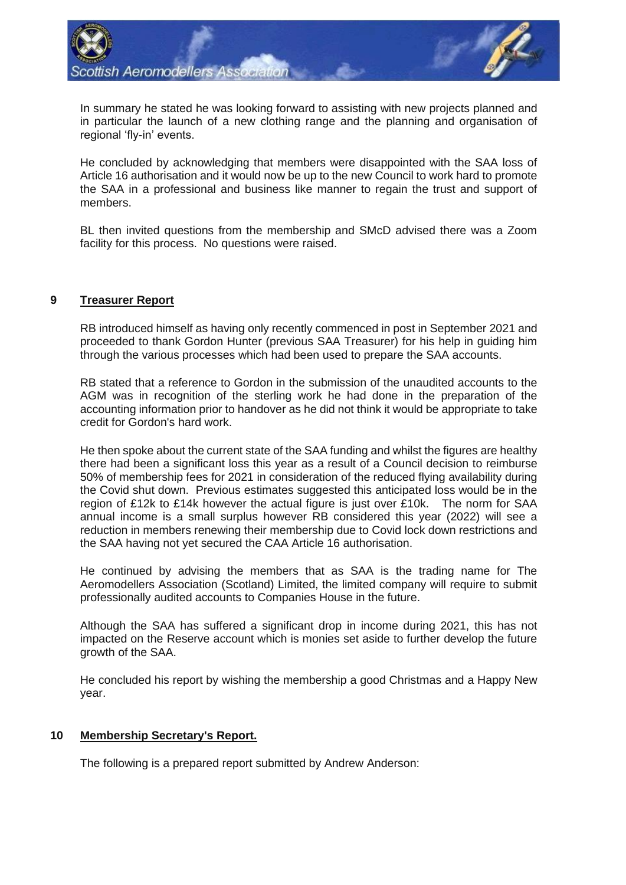

In summary he stated he was looking forward to assisting with new projects planned and in particular the launch of a new clothing range and the planning and organisation of regional 'fly-in' events.

He concluded by acknowledging that members were disappointed with the SAA loss of Article 16 authorisation and it would now be up to the new Council to work hard to promote the SAA in a professional and business like manner to regain the trust and support of members.

BL then invited questions from the membership and SMcD advised there was a Zoom facility for this process. No questions were raised.

## **9 Treasurer Report**

RB introduced himself as having only recently commenced in post in September 2021 and proceeded to thank Gordon Hunter (previous SAA Treasurer) for his help in guiding him through the various processes which had been used to prepare the SAA accounts.

RB stated that a reference to Gordon in the submission of the unaudited accounts to the AGM was in recognition of the sterling work he had done in the preparation of the accounting information prior to handover as he did not think it would be appropriate to take credit for Gordon's hard work.

He then spoke about the current state of the SAA funding and whilst the figures are healthy there had been a significant loss this year as a result of a Council decision to reimburse 50% of membership fees for 2021 in consideration of the reduced flying availability during the Covid shut down. Previous estimates suggested this anticipated loss would be in the region of £12k to £14k however the actual figure is just over £10k. The norm for SAA annual income is a small surplus however RB considered this year (2022) will see a reduction in members renewing their membership due to Covid lock down restrictions and the SAA having not yet secured the CAA Article 16 authorisation.

He continued by advising the members that as SAA is the trading name for The Aeromodellers Association (Scotland) Limited, the limited company will require to submit professionally audited accounts to Companies House in the future.

Although the SAA has suffered a significant drop in income during 2021, this has not impacted on the Reserve account which is monies set aside to further develop the future growth of the SAA.

He concluded his report by wishing the membership a good Christmas and a Happy New year.

## **10 Membership Secretary's Report.**

The following is a prepared report submitted by Andrew Anderson: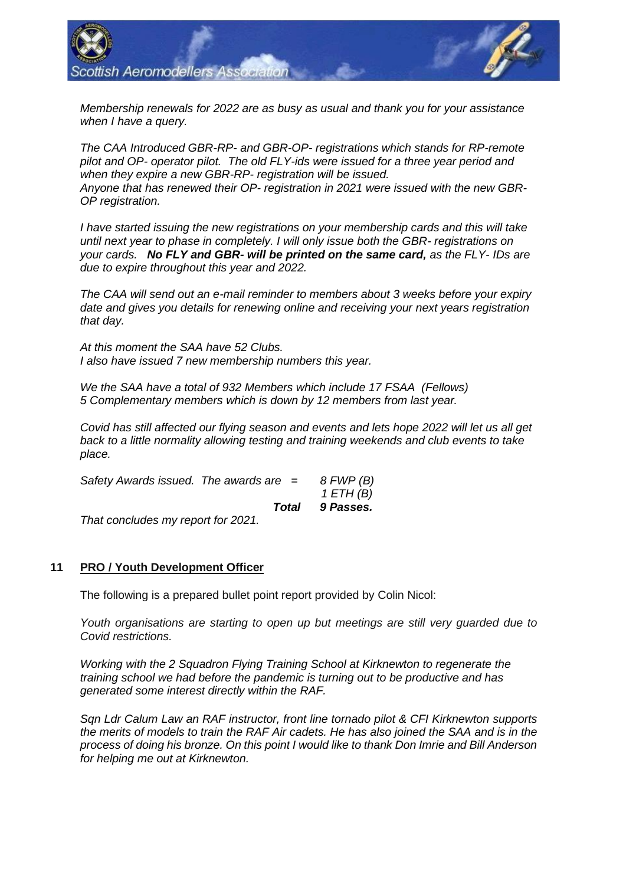

*Membership renewals for 2022 are as busy as usual and thank you for your assistance when I have a query.*

*The CAA Introduced GBR-RP- and GBR-OP- registrations which stands for RP-remote pilot and OP- operator pilot. The old FLY-ids were issued for a three year period and when they expire a new GBR-RP- registration will be issued. Anyone that has renewed their OP- registration in 2021 were issued with the new GBR-OP registration.* 

*I have started issuing the new registrations on your membership cards and this will take until next year to phase in completely. I will only issue both the GBR- registrations on your cards. No FLY and GBR- will be printed on the same card, as the FLY- IDs are due to expire throughout this year and 2022.* 

*The CAA will send out an e-mail reminder to members about 3 weeks before your expiry date and gives you details for renewing online and receiving your next years registration that day.*

*At this moment the SAA have 52 Clubs. I also have issued 7 new membership numbers this year.* 

*We the SAA have a total of 932 Members which include 17 FSAA (Fellows) 5 Complementary members which is down by 12 members from last year.*

*Covid has still affected our flying season and events and lets hope 2022 will let us all get back to a little normality allowing testing and training weekends and club events to take place.*

| Safety Awards issued. The awards are $=$ |       | 8 FWP (B)<br>1 ETH (B) |  |
|------------------------------------------|-------|------------------------|--|
|                                          | Total | 9 Passes.              |  |
| That concludes my report for 2021.       |       |                        |  |

## **11 PRO / Youth Development Officer**

The following is a prepared bullet point report provided by Colin Nicol:

*Youth organisations are starting to open up but meetings are still very guarded due to Covid restrictions.*

*Working with the 2 Squadron Flying Training School at Kirknewton to regenerate the training school we had before the pandemic is turning out to be productive and has generated some interest directly within the RAF.*

*Sqn Ldr Calum Law an RAF instructor, front line tornado pilot & CFI Kirknewton supports the merits of models to train the RAF Air cadets. He has also joined the SAA and is in the process of doing his bronze. On this point I would like to thank Don Imrie and Bill Anderson for helping me out at Kirknewton.*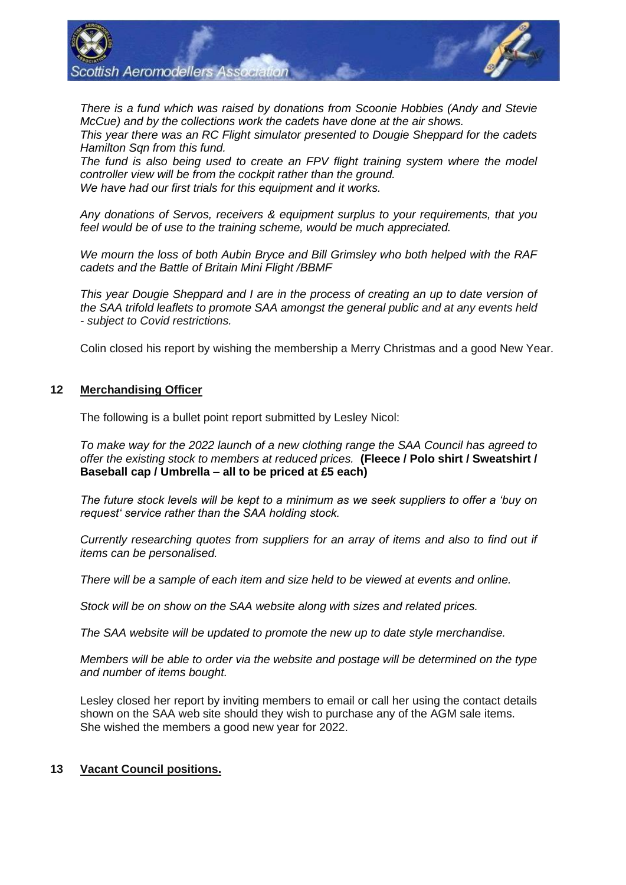

*There is a fund which was raised by donations from Scoonie Hobbies (Andy and Stevie McCue) and by the collections work the cadets have done at the air shows. This year there was an RC Flight simulator presented to Dougie Sheppard for the cadets* 

*Hamilton Sqn from this fund.*

The fund is also being used to create an FPV flight training system where the model *controller view will be from the cockpit rather than the ground. We have had our first trials for this equipment and it works.*

*Any donations of Servos, receivers & equipment surplus to your requirements, that you feel would be of use to the training scheme, would be much appreciated.*

*We mourn the loss of both Aubin Bryce and Bill Grimsley who both helped with the RAF cadets and the Battle of Britain Mini Flight /BBMF* 

*This year Dougie Sheppard and I are in the process of creating an up to date version of the SAA trifold leaflets to promote SAA amongst the general public and at any events held - subject to Covid restrictions.*

Colin closed his report by wishing the membership a Merry Christmas and a good New Year.

## **12 Merchandising Officer**

The following is a bullet point report submitted by Lesley Nicol:

*To make way for the 2022 launch of a new clothing range the SAA Council has agreed to offer the existing stock to members at reduced prices.* **(Fleece / Polo shirt / Sweatshirt / Baseball cap / Umbrella – all to be priced at £5 each)**

*The future stock levels will be kept to a minimum as we seek suppliers to offer a 'buy on request' service rather than the SAA holding stock.*

*Currently researching quotes from suppliers for an array of items and also to find out if items can be personalised.*

*There will be a sample of each item and size held to be viewed at events and online.*

*Stock will be on show on the SAA website along with sizes and related prices.*

*The SAA website will be updated to promote the new up to date style merchandise.*

*Members will be able to order via the website and postage will be determined on the type and number of items bought.*

Lesley closed her report by inviting members to email or call her using the contact details shown on the SAA web site should they wish to purchase any of the AGM sale items. She wished the members a good new year for 2022.

## **13 Vacant Council positions.**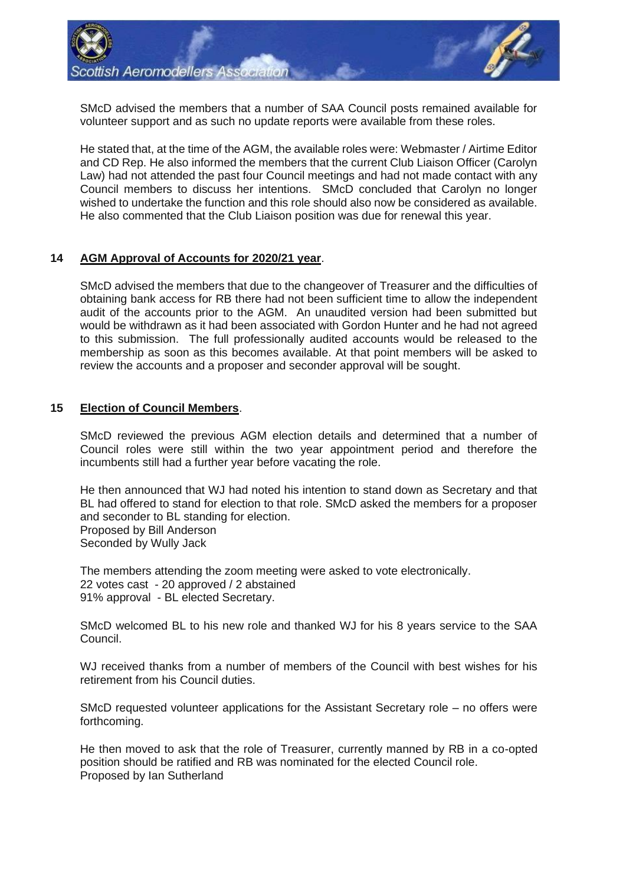

SMcD advised the members that a number of SAA Council posts remained available for volunteer support and as such no update reports were available from these roles.

He stated that, at the time of the AGM, the available roles were: Webmaster / Airtime Editor and CD Rep. He also informed the members that the current Club Liaison Officer (Carolyn Law) had not attended the past four Council meetings and had not made contact with any Council members to discuss her intentions. SMcD concluded that Carolyn no longer wished to undertake the function and this role should also now be considered as available. He also commented that the Club Liaison position was due for renewal this year.

## **14 AGM Approval of Accounts for 2020/21 year**.

SMcD advised the members that due to the changeover of Treasurer and the difficulties of obtaining bank access for RB there had not been sufficient time to allow the independent audit of the accounts prior to the AGM. An unaudited version had been submitted but would be withdrawn as it had been associated with Gordon Hunter and he had not agreed to this submission. The full professionally audited accounts would be released to the membership as soon as this becomes available. At that point members will be asked to review the accounts and a proposer and seconder approval will be sought.

#### **15 Election of Council Members**.

SMcD reviewed the previous AGM election details and determined that a number of Council roles were still within the two year appointment period and therefore the incumbents still had a further year before vacating the role.

He then announced that WJ had noted his intention to stand down as Secretary and that BL had offered to stand for election to that role. SMcD asked the members for a proposer and seconder to BL standing for election. Proposed by Bill Anderson Seconded by Wully Jack

The members attending the zoom meeting were asked to vote electronically. 22 votes cast - 20 approved / 2 abstained 91% approval - BL elected Secretary.

SMcD welcomed BL to his new role and thanked WJ for his 8 years service to the SAA Council.

WJ received thanks from a number of members of the Council with best wishes for his retirement from his Council duties.

SMcD requested volunteer applications for the Assistant Secretary role – no offers were forthcoming.

He then moved to ask that the role of Treasurer, currently manned by RB in a co-opted position should be ratified and RB was nominated for the elected Council role. Proposed by Ian Sutherland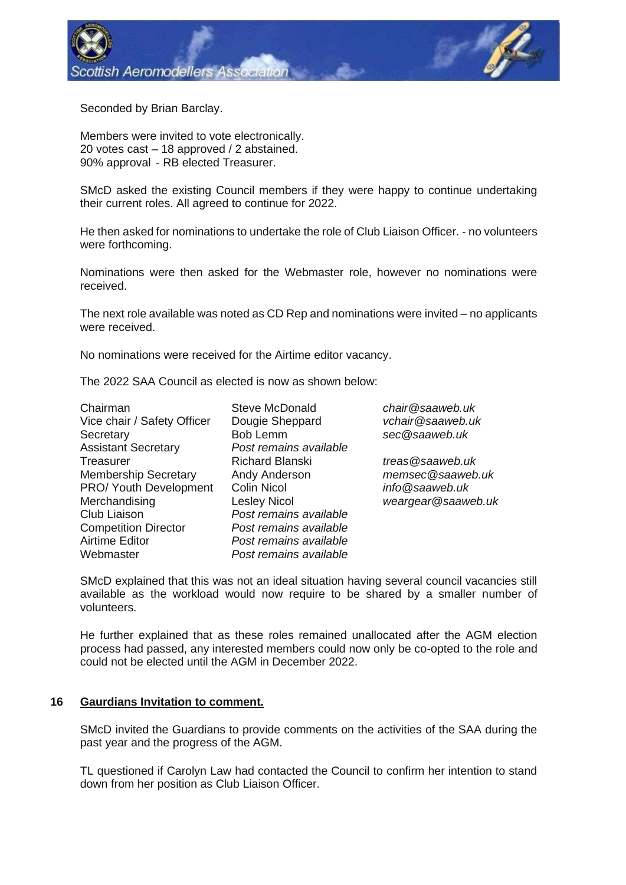

Seconded by Brian Barclay.

Members were invited to vote electronically. 20 votes cast – 18 approved / 2 abstained. 90% approval - RB elected Treasurer.

SMcD asked the existing Council members if they were happy to continue undertaking their current roles. All agreed to continue for 2022.

He then asked for nominations to undertake the role of Club Liaison Officer. - no volunteers were forthcoming.

Nominations were then asked for the Webmaster role, however no nominations were received.

The next role available was noted as CD Rep and nominations were invited – no applicants were received.

No nominations were received for the Airtime editor vacancy.

The 2022 SAA Council as elected is now as shown below:

- Vice chair / Safety Officer Dougie Sheppard *vchair@saaweb.uk* Secretary Bob Lemm *sec@saaweb.uk* Assistant Secretary *Post remains available* Treasurer **Richard Blanski** *treas@saaweb.uk*<br>
Membership Secretary Andy Anderson *memsec@saaweb.uk* Membership Secretary **Andy Anderson** PRO/ Youth Development Colin Nicol *info@saaweb.uk* Merchandising Lesley Nicol *weargear@saaweb.uk* Club Liaison *Post remains available* Competition Director *Post remains available* Airtime Editor *Post remains available* Webmaster *Post remains available*
- Chairman Steve McDonald *chair@saaweb.uk*

SMcD explained that this was not an ideal situation having several council vacancies still available as the workload would now require to be shared by a smaller number of volunteers.

He further explained that as these roles remained unallocated after the AGM election process had passed, any interested members could now only be co-opted to the role and could not be elected until the AGM in December 2022.

#### **16 Gaurdians Invitation to comment.**

SMcD invited the Guardians to provide comments on the activities of the SAA during the past year and the progress of the AGM.

TL questioned if Carolyn Law had contacted the Council to confirm her intention to stand down from her position as Club Liaison Officer.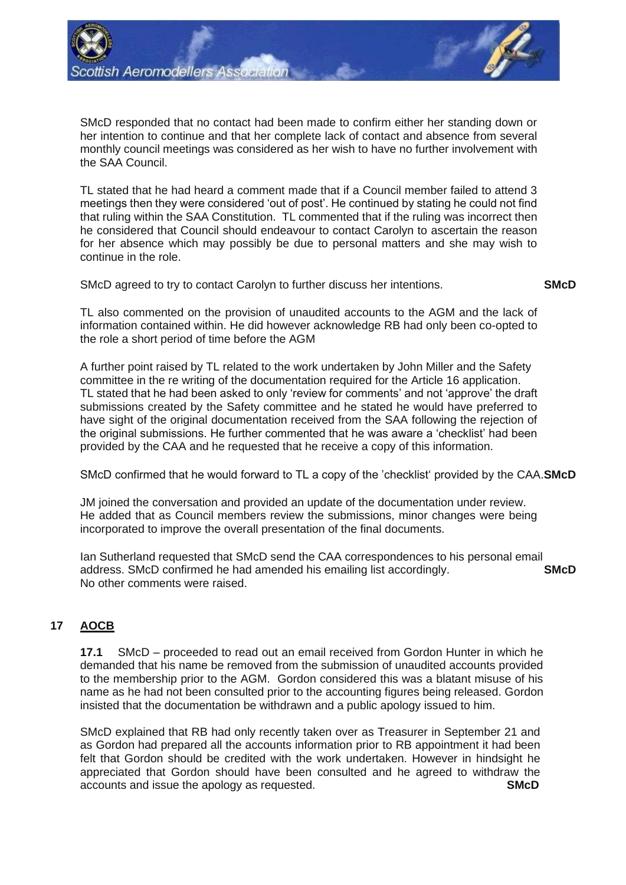

SMcD responded that no contact had been made to confirm either her standing down or her intention to continue and that her complete lack of contact and absence from several monthly council meetings was considered as her wish to have no further involvement with the SAA Council.

TL stated that he had heard a comment made that if a Council member failed to attend 3 meetings then they were considered 'out of post'. He continued by stating he could not find that ruling within the SAA Constitution. TL commented that if the ruling was incorrect then he considered that Council should endeavour to contact Carolyn to ascertain the reason for her absence which may possibly be due to personal matters and she may wish to continue in the role.

SMcD agreed to try to contact Carolyn to further discuss her intentions. **SMcD**

TL also commented on the provision of unaudited accounts to the AGM and the lack of information contained within. He did however acknowledge RB had only been co-opted to the role a short period of time before the AGM

A further point raised by TL related to the work undertaken by John Miller and the Safety committee in the re writing of the documentation required for the Article 16 application. TL stated that he had been asked to only 'review for comments' and not 'approve' the draft submissions created by the Safety committee and he stated he would have preferred to have sight of the original documentation received from the SAA following the rejection of the original submissions. He further commented that he was aware a 'checklist' had been provided by the CAA and he requested that he receive a copy of this information.

SMcD confirmed that he would forward to TL a copy of the 'checklist' provided by the CAA.**SMcD**

JM joined the conversation and provided an update of the documentation under review. He added that as Council members review the submissions, minor changes were being incorporated to improve the overall presentation of the final documents.

Ian Sutherland requested that SMcD send the CAA correspondences to his personal email address. SMcD confirmed he had amended his emailing list accordingly. **SMcD** No other comments were raised.

# **17 AOCB**

**17.1** SMcD – proceeded to read out an email received from Gordon Hunter in which he demanded that his name be removed from the submission of unaudited accounts provided to the membership prior to the AGM. Gordon considered this was a blatant misuse of his name as he had not been consulted prior to the accounting figures being released. Gordon insisted that the documentation be withdrawn and a public apology issued to him.

SMcD explained that RB had only recently taken over as Treasurer in September 21 and as Gordon had prepared all the accounts information prior to RB appointment it had been felt that Gordon should be credited with the work undertaken. However in hindsight he appreciated that Gordon should have been consulted and he agreed to withdraw the accounts and issue the apology as requested. **SMcD**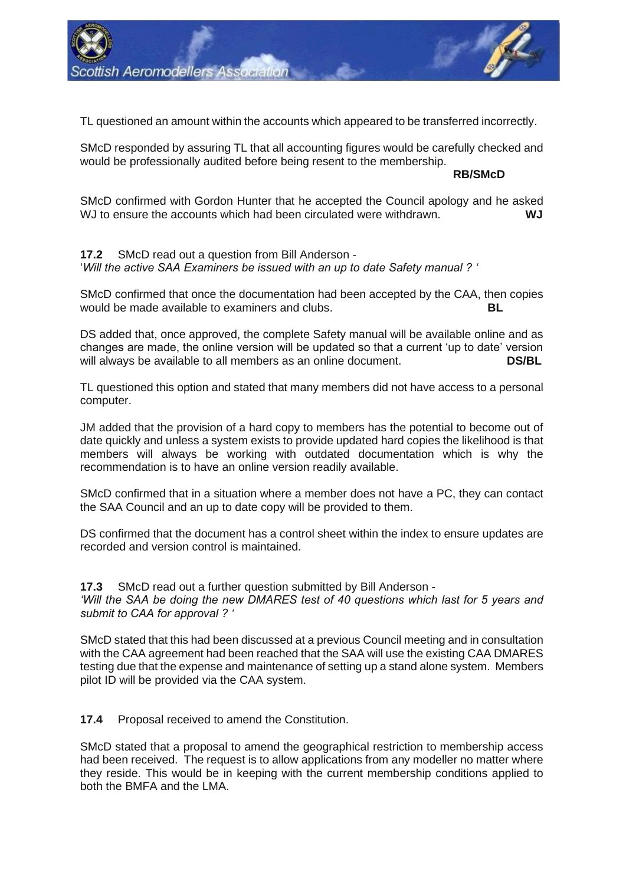

TL questioned an amount within the accounts which appeared to be transferred incorrectly.

SMcD responded by assuring TL that all accounting figures would be carefully checked and would be professionally audited before being resent to the membership.

**RB/SMcD**

SMcD confirmed with Gordon Hunter that he accepted the Council apology and he asked WJ to ensure the accounts which had been circulated were withdrawn. **WJ**

**17.2** SMcD read out a question from Bill Anderson - '*Will the active SAA Examiners be issued with an up to date Safety manual ? '*

SMcD confirmed that once the documentation had been accepted by the CAA, then copies would be made available to examiners and clubs. **BL**

DS added that, once approved, the complete Safety manual will be available online and as changes are made, the online version will be updated so that a current 'up to date' version will always be available to all members as an online document. **DS/BL**

TL questioned this option and stated that many members did not have access to a personal computer.

JM added that the provision of a hard copy to members has the potential to become out of date quickly and unless a system exists to provide updated hard copies the likelihood is that members will always be working with outdated documentation which is why the recommendation is to have an online version readily available.

SMcD confirmed that in a situation where a member does not have a PC, they can contact the SAA Council and an up to date copy will be provided to them.

DS confirmed that the document has a control sheet within the index to ensure updates are recorded and version control is maintained.

**17.3** SMcD read out a further question submitted by Bill Anderson - *'Will the SAA be doing the new DMARES test of 40 questions which last for 5 years and submit to CAA for approval ? '*

SMcD stated that this had been discussed at a previous Council meeting and in consultation with the CAA agreement had been reached that the SAA will use the existing CAA DMARES testing due that the expense and maintenance of setting up a stand alone system. Members pilot ID will be provided via the CAA system.

**17.4** Proposal received to amend the Constitution.

SMcD stated that a proposal to amend the geographical restriction to membership access had been received. The request is to allow applications from any modeller no matter where they reside. This would be in keeping with the current membership conditions applied to both the BMFA and the LMA.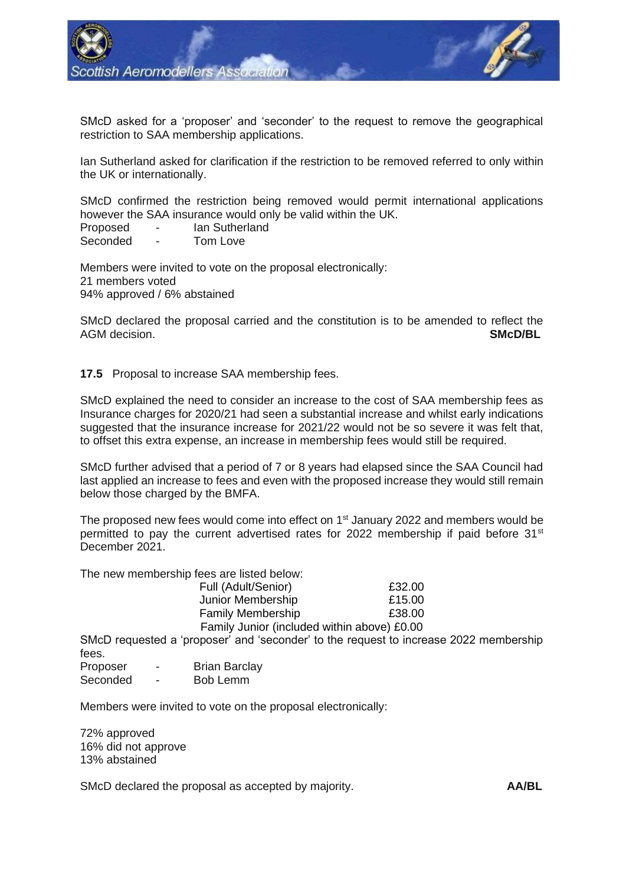

SMcD asked for a 'proposer' and 'seconder' to the request to remove the geographical restriction to SAA membership applications.

Ian Sutherland asked for clarification if the restriction to be removed referred to only within the UK or internationally.

SMcD confirmed the restriction being removed would permit international applications however the SAA insurance would only be valid within the UK.

Proposed - Ian Sutherland Seconded - Tom Love

Members were invited to vote on the proposal electronically: 21 members voted 94% approved / 6% abstained

SMcD declared the proposal carried and the constitution is to be amended to reflect the AGM decision. **SMcD/BL**

**17.5** Proposal to increase SAA membership fees.

SMcD explained the need to consider an increase to the cost of SAA membership fees as Insurance charges for 2020/21 had seen a substantial increase and whilst early indications suggested that the insurance increase for 2021/22 would not be so severe it was felt that, to offset this extra expense, an increase in membership fees would still be required.

SMcD further advised that a period of 7 or 8 years had elapsed since the SAA Council had last applied an increase to fees and even with the proposed increase they would still remain below those charged by the BMFA.

The proposed new fees would come into effect on  $1<sup>st</sup>$  January 2022 and members would be permitted to pay the current advertised rates for 2022 membership if paid before 31<sup>st</sup> December 2021.

The new membership fees are listed below:

| Full (Adult/Senior)                         | £32.00 |
|---------------------------------------------|--------|
| Junior Membership                           | £15.00 |
| <b>Family Membership</b>                    | £38.00 |
| Family Junior (included within above) £0.00 |        |

SMcD requested a 'proposer' and 'seconder' to the request to increase 2022 membership fees.

| Proposer | <b>Brian Barclay</b> |
|----------|----------------------|
| Coocodod | Doblomm              |

Seconded - Bob Lemm

Members were invited to vote on the proposal electronically:

72% approved 16% did not approve 13% abstained

SMcD declared the proposal as accepted by majority. **AA/BL**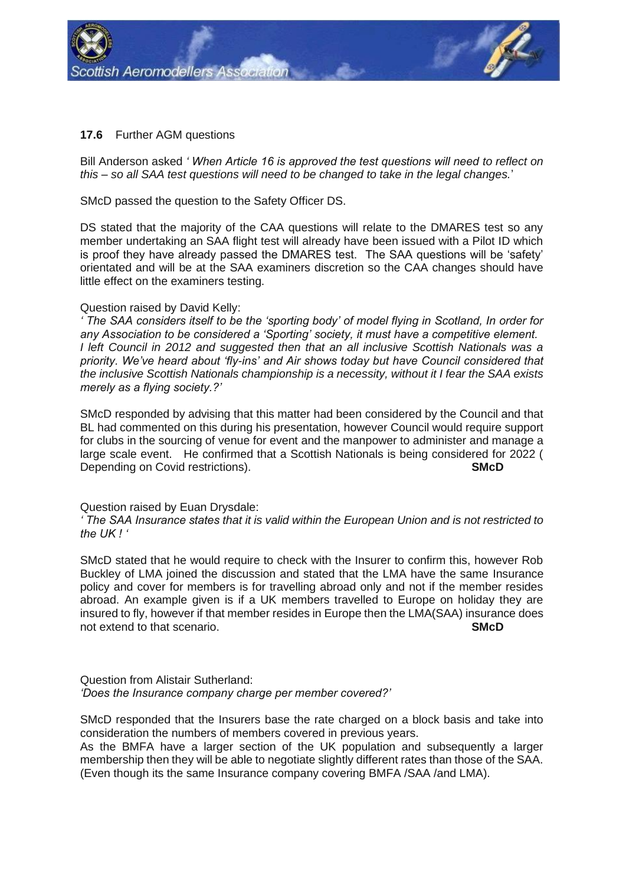

## **17.6** Further AGM questions

Bill Anderson asked *' When Article 16 is approved the test questions will need to reflect on this – so all SAA test questions will need to be changed to take in the legal changes.*'

SMcD passed the question to the Safety Officer DS.

DS stated that the majority of the CAA questions will relate to the DMARES test so any member undertaking an SAA flight test will already have been issued with a Pilot ID which is proof they have already passed the DMARES test. The SAA questions will be 'safety' orientated and will be at the SAA examiners discretion so the CAA changes should have little effect on the examiners testing.

## Question raised by David Kelly:

*' The SAA considers itself to be the 'sporting body' of model flying in Scotland, In order for any Association to be considered a 'Sporting' society, it must have a competitive element. I left Council in 2012 and suggested then that an all inclusive Scottish Nationals was a priority. We've heard about 'fly-ins' and Air shows today but have Council considered that the inclusive Scottish Nationals championship is a necessity, without it I fear the SAA exists merely as a flying society.?'*

SMcD responded by advising that this matter had been considered by the Council and that BL had commented on this during his presentation, however Council would require support for clubs in the sourcing of venue for event and the manpower to administer and manage a large scale event. He confirmed that a Scottish Nationals is being considered for 2022 ( Depending on Covid restrictions). **SMCD** 

#### Question raised by Euan Drysdale:

*' The SAA Insurance states that it is valid within the European Union and is not restricted to the UK ! '*

SMcD stated that he would require to check with the Insurer to confirm this, however Rob Buckley of LMA joined the discussion and stated that the LMA have the same Insurance policy and cover for members is for travelling abroad only and not if the member resides abroad. An example given is if a UK members travelled to Europe on holiday they are insured to fly, however if that member resides in Europe then the LMA(SAA) insurance does not extend to that scenario. **SMcD**

Question from Alistair Sutherland: *'Does the Insurance company charge per member covered?'*

SMcD responded that the Insurers base the rate charged on a block basis and take into consideration the numbers of members covered in previous years.

As the BMFA have a larger section of the UK population and subsequently a larger membership then they will be able to negotiate slightly different rates than those of the SAA. (Even though its the same Insurance company covering BMFA /SAA /and LMA).